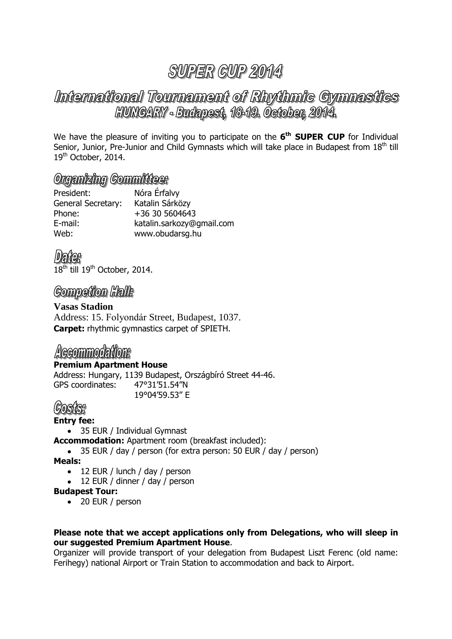## International Tournament of Rhythmic Gymnastics HUNGARY - Budapest, 18-19. October, 2014.

We have the pleasure of inviting you to participate on the **6 th SUPER CUP** for Individual Senior, Junior, Pre-Junior and Child Gymnasts which will take place in Budapest from 18<sup>th</sup> till 19<sup>th</sup> October, 2014.

### Organizing Committees

| President:         | Nóra Érfalvy              |
|--------------------|---------------------------|
| General Secretary: | Katalin Sárközy           |
| Phone:             | +36 30 5604643            |
| E-mail:            | katalin.sarkozy@gmail.com |
| Web:               | www.obudarsg.hu           |

 $18^{\text{th}}$  till  $19^{\text{th}}$  October, 2014.

## **Competion Halls**

**Vasas Stadion** Address: 15. Folyondár Street, Budapest, 1037. **Carpet:** rhythmic gymnastics carpet of SPIETH.

## Accommodations

#### **Premium Apartment House**

Address: Hungary, 1139 Budapest, Országbíró Street 44-46. GPS coordinates: 47°31'51.54"N

19°04'59.53" E

## (GOSTISH

#### **Entry fee:**

• 35 EUR / Individual Gymnast

**Accommodation:** Apartment room (breakfast included):

• 35 EUR / day / person (for extra person: 50 EUR / day / person)

**Meals:**

- 12 EUR / lunch / day / person
- 12 EUR / dinner / day / person

#### **Budapest Tour:**

• 20 EUR / person

#### **Please note that we accept applications only from Delegations, who will sleep in our suggested Premium Apartment House**.

Organizer will provide transport of your delegation from Budapest Liszt Ferenc (old name: Ferihegy) national Airport or Train Station to accommodation and back to Airport.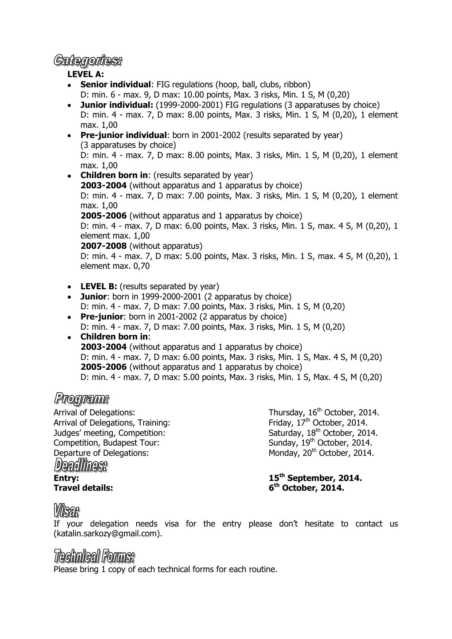### *Gattegorites:*

#### **LEVEL A:**

- **Senior individual:** FIG regulations (hoop, ball, clubs, ribbon)  $\bullet$ D: min. 6 - max. 9, D max: 10.00 points, Max. 3 risks, Min. 1 S, M (0,20)
- **Junior individual:** (1999-2000-2001) FIG regulations (3 apparatuses by choice) D: min. 4 - max. 7, D max: 8.00 points, Max. 3 risks, Min. 1 S, M (0,20), 1 element max. 1,00
- **Pre-junior individual**: born in 2001-2002 (results separated by year) (3 apparatuses by choice) D: min. 4 - max. 7, D max: 8.00 points, Max. 3 risks, Min. 1 S, M (0,20), 1 element max. 1,00
- **Children born in:** (results separated by year) **2003-2004** (without apparatus and 1 apparatus by choice) D: min. 4 - max. 7, D max: 7.00 points, Max. 3 risks, Min. 1 S, M (0,20), 1 element max. 1,00 **2005-2006** (without apparatus and 1 apparatus by choice) D: min. 4 - max. 7, D max: 6.00 points, Max. 3 risks, Min. 1 S, max. 4 S, M (0,20), 1 element max. 1,00 **2007-2008** (without apparatus) D: min. 4 - max. 7, D max: 5.00 points, Max. 3 risks, Min. 1 S, max. 4 S, M (0,20), 1 element max. 0,70
- **LEVEL B:** (results separated by year)
- **Junior**: born in 1999-2000-2001 (2 apparatus by choice) D: min. 4 - max. 7, D max: 7.00 points, Max. 3 risks, Min. 1 S, M (0,20)
- **Pre-junior**: born in 2001-2002 (2 apparatus by choice) D: min. 4 - max. 7, D max: 7.00 points, Max. 3 risks, Min. 1 S, M (0,20)
- **Children born in**: **2003-2004** (without apparatus and 1 apparatus by choice) D: min. 4 - max. 7, D max: 6.00 points, Max. 3 risks, Min. 1 S, Max. 4 S, M (0,20) **2005-2006** (without apparatus and 1 apparatus by choice) D: min. 4 - max. 7, D max: 5.00 points, Max. 3 risks, Min. 1 S, Max. 4 S, M (0,20)

## Programe

Arrival of Delegations:  $\frac{16^{\text{th}}}{{\text{Ori}}\atop \text{Arrival of Delegations, Training:}}$  Thursday,  $16^{\text{th}}{\text{October, 2014.}}$ Arrival of Delegations, Training: Judges' meeting, Competition: Saturday, 18<sup>th</sup> October, 2014. Competition, Budapest Tour: Sunday, 19<sup>th</sup> October, 2014. Departure of Delegations: Deadlines: **Entry: 15th September, 2014. Travel details: 6**

Monday, 20<sup>th</sup> October, 2014.

**th October, 2014.**

## *Visar*

If your delegation needs visa for the entry please don't hesitate to contact us (katalin.sarkozy@gmail.com).

## *Technical Forms:*

Please bring 1 copy of each technical forms for each routine.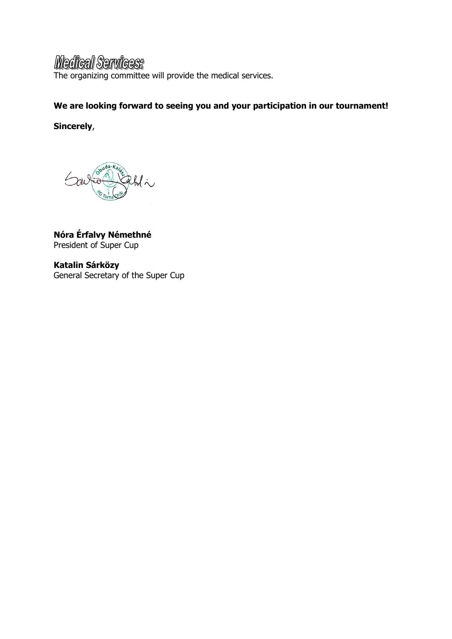## **Medical Services:**

The organizing committee will provide the medical services.

### **We are looking forward to seeing you and your participation in our tournament!**

**Sincerely**,



**Nóra Érfalvy Némethné** President of Super Cup

**Katalin Sárközy**  General Secretary of the Super Cup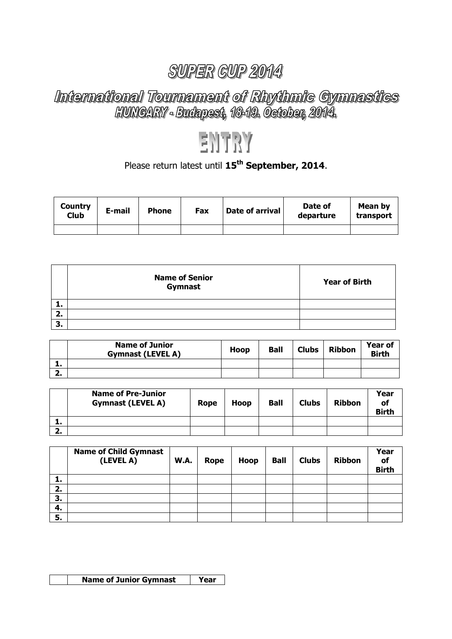# International Tournament of Rhythmic Cymnastics<br>HUNGARY - Budapest, 1849. Oetober, 2014.

## ENTRY

## Please return latest until **15th September, 2014**.

| Country<br>Club | E-mail | <b>Phone</b> | Fax | Date of arrival | Date of<br>departure | Mean by<br>transport |
|-----------------|--------|--------------|-----|-----------------|----------------------|----------------------|
|                 |        |              |     |                 |                      |                      |

|         | <b>Name of Senior</b><br>Gymnast | <b>Year of Birth</b> |
|---------|----------------------------------|----------------------|
| л.      |                                  |                      |
| 2.      |                                  |                      |
| ∍<br>э. |                                  |                      |

|          | <b>Name of Junior</b><br><b>Gymnast (LEVEL A)</b> | Hoop | <b>Ball</b> | <b>Clubs</b> | <b>Ribbon</b> | <b>Year of</b><br><b>Birth</b> |
|----------|---------------------------------------------------|------|-------------|--------------|---------------|--------------------------------|
| л.       |                                                   |      |             |              |               |                                |
| <b>.</b> |                                                   |      |             |              |               |                                |

|         | <b>Name of Pre-Junior</b><br><b>Gymnast (LEVEL A)</b> | Rope | <b>Hoop</b> | <b>Ball</b> | <b>Clubs</b> | <b>Ribbon</b> | Year<br>οf<br><b>Birth</b> |
|---------|-------------------------------------------------------|------|-------------|-------------|--------------|---------------|----------------------------|
| л.      |                                                       |      |             |             |              |               |                            |
| C<br>Ζ. |                                                       |      |             |             |              |               |                            |

|    | <b>Name of Child Gymnast</b><br>(LEVEL A) | W.A. | Rope | Hoop | <b>Ball</b> | <b>Clubs</b> | <b>Ribbon</b> | Year<br>of<br><b>Birth</b> |
|----|-------------------------------------------|------|------|------|-------------|--------------|---------------|----------------------------|
| ı. |                                           |      |      |      |             |              |               |                            |
| 2. |                                           |      |      |      |             |              |               |                            |
| 3. |                                           |      |      |      |             |              |               |                            |
| 4. |                                           |      |      |      |             |              |               |                            |
| 5. |                                           |      |      |      |             |              |               |                            |

| <b>Name of Junior Gymnast</b> |  |
|-------------------------------|--|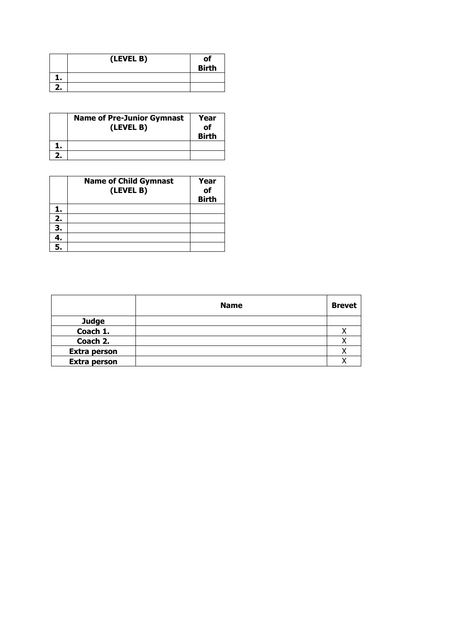|    | (LEVEL B) | of<br><b>Birth</b> |
|----|-----------|--------------------|
|    |           |                    |
| Ζ. |           |                    |

| <b>Name of Pre-Junior Gymnast</b><br>(LEVEL B) | Year<br>οf<br><b>Birth</b> |
|------------------------------------------------|----------------------------|
|                                                |                            |
|                                                |                            |

|    | <b>Name of Child Gymnast</b><br>(LEVEL B) | Year<br>of<br><b>Birth</b> |
|----|-------------------------------------------|----------------------------|
| ı. |                                           |                            |
| 2. |                                           |                            |
| 3. |                                           |                            |
| 4. |                                           |                            |
|    |                                           |                            |

|                     | <b>Name</b> | <b>Brevet</b> |
|---------------------|-------------|---------------|
| <b>Judge</b>        |             |               |
| Coach 1.            |             |               |
| Coach 2.            |             | Λ             |
| <b>Extra person</b> |             |               |
| <b>Extra person</b> |             |               |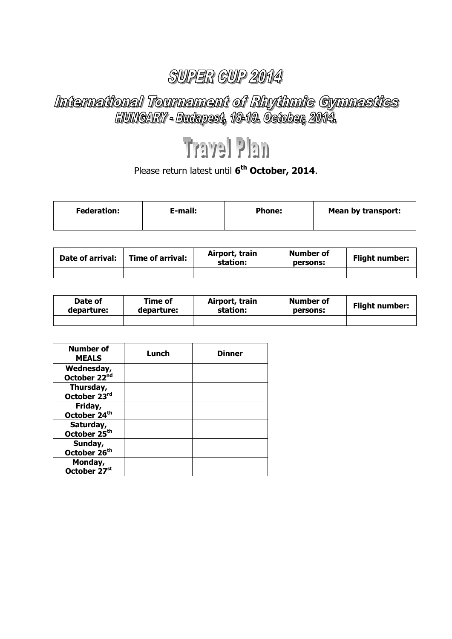# International Tournament of Rhythmic Cymnastics<br>HUNGARY - Budapest, 1849. Oetober, 2014.

## **Travel Plan**

#### Please return latest until **6 th October, 2014**.

| <b>Federation:</b> | E-mail: | <b>Phone:</b> | <b>Mean by transport:</b> |
|--------------------|---------|---------------|---------------------------|
|                    |         |               |                           |

| Date of arrival: | Time of arrival: | Airport, train<br>station: | <b>Number of</b><br>persons: | <b>Flight number:</b> |  |
|------------------|------------------|----------------------------|------------------------------|-----------------------|--|
|                  |                  |                            |                              |                       |  |

| Date of    | Time of    | Airport, train | Number of | <b>Flight number:</b> |
|------------|------------|----------------|-----------|-----------------------|
| departure: | departure: | station:       | persons:  |                       |
|            |            |                |           |                       |

| <b>Number of</b><br><b>MEALS</b>       | Lunch | <b>Dinner</b> |
|----------------------------------------|-------|---------------|
| Wednesday,<br>October 22 <sup>nd</sup> |       |               |
| Thursday,<br>October 23rd              |       |               |
| Friday,<br>October 24th                |       |               |
| Saturday,<br>October 25 <sup>th</sup>  |       |               |
| Sunday,<br>October 26 <sup>th</sup>    |       |               |
| Monday,<br>October 27 <sup>st</sup>    |       |               |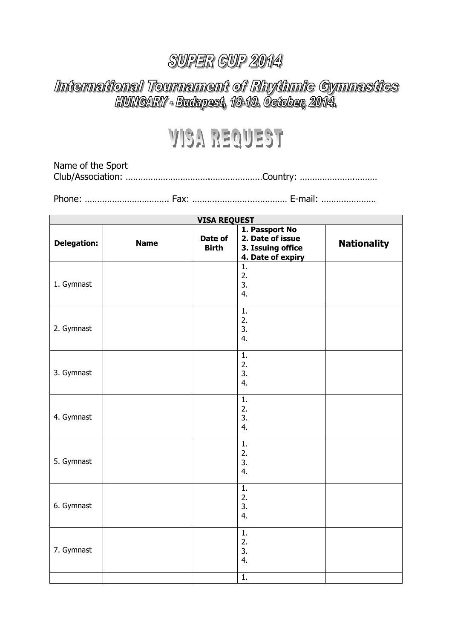# International Tournament of Rhythmic Gymnastics<br>HUNGARY - Budapest, 1849. October, 2014.

## **VISA REQUEST**

Name of the Sport Club/Association: …………………………….…………………Country: ………………….………

Phone: ……………………………. Fax: ……….………….…………… E-mail: ……….…………

| <b>VISA REQUEST</b> |             |                         |                                                                              |                    |
|---------------------|-------------|-------------------------|------------------------------------------------------------------------------|--------------------|
| <b>Delegation:</b>  | <b>Name</b> | Date of<br><b>Birth</b> | 1. Passport No<br>2. Date of issue<br>3. Issuing office<br>4. Date of expiry | <b>Nationality</b> |
| 1. Gymnast          |             |                         | 1.<br>2.<br>3.<br>4.                                                         |                    |
| 2. Gymnast          |             |                         | 1.<br>2.<br>3.<br>4.                                                         |                    |
| 3. Gymnast          |             |                         | 1.<br>2.<br>3.<br>4.                                                         |                    |
| 4. Gymnast          |             |                         | 1.<br>2.<br>3.<br>4.                                                         |                    |
| 5. Gymnast          |             |                         | 1.<br>2.<br>3.<br>4.                                                         |                    |
| 6. Gymnast          |             |                         | 1.<br>2.<br>3.<br>4.                                                         |                    |
| 7. Gymnast          |             |                         | 1.<br>2.<br>3.<br>4.                                                         |                    |
|                     |             |                         | 1.                                                                           |                    |